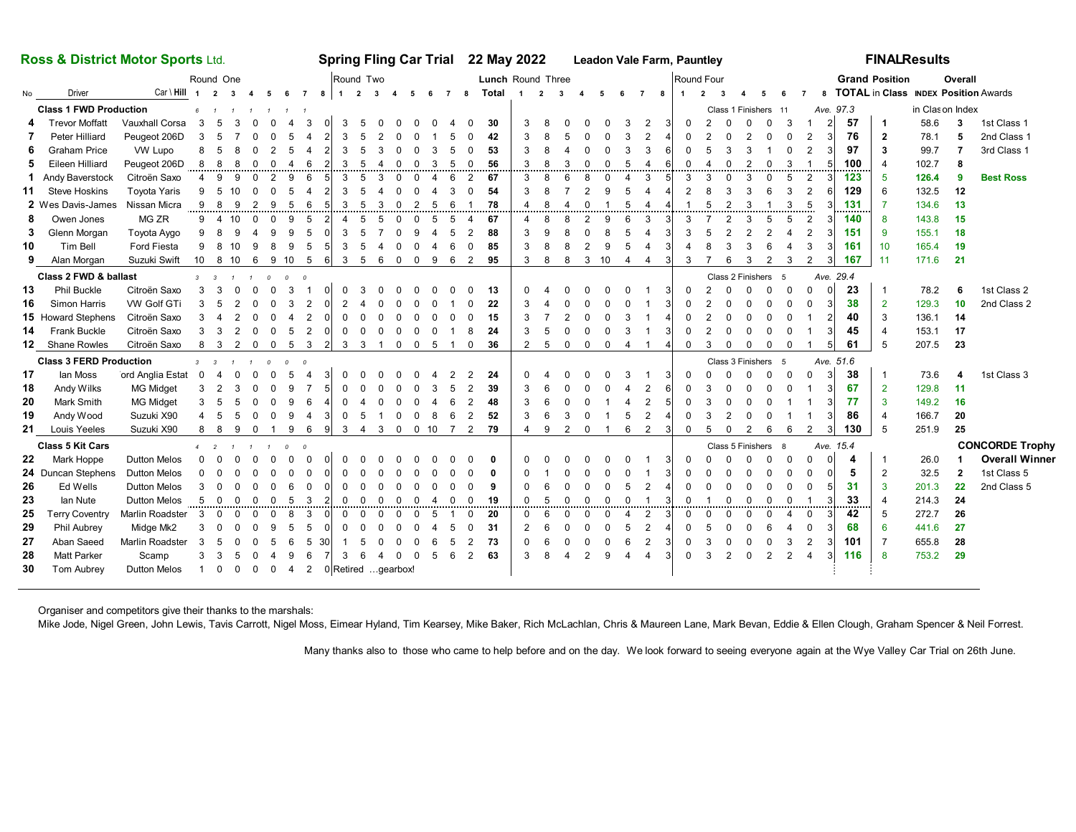| Ross & District Motor Sports Ltd.                                                                                                                     |                           |                     |                |                |                         |             |                |                          |                       | Spring Fling Car Trial 22 May 2022 |                |                |                |                      |                            |                          |                |                         |                |                         |                         |                          | <b>Leadon Vale Farm, Pauntley</b> |              |                      |                |                         |                         |                          |                         |                |                       |                         | <b>FINALResults</b> |                 |         |                                        |       |                |                        |
|-------------------------------------------------------------------------------------------------------------------------------------------------------|---------------------------|---------------------|----------------|----------------|-------------------------|-------------|----------------|--------------------------|-----------------------|------------------------------------|----------------|----------------|----------------|----------------------|----------------------------|--------------------------|----------------|-------------------------|----------------|-------------------------|-------------------------|--------------------------|-----------------------------------|--------------|----------------------|----------------|-------------------------|-------------------------|--------------------------|-------------------------|----------------|-----------------------|-------------------------|---------------------|-----------------|---------|----------------------------------------|-------|----------------|------------------------|
| Round One                                                                                                                                             |                           |                     |                |                |                         |             |                | Round Two                |                       |                                    |                |                |                |                      |                            | <b>Lunch Round Three</b> |                |                         |                |                         |                         |                          |                                   |              |                      | Round Four     |                         |                         |                          |                         |                | <b>Grand Position</b> |                         |                     |                 | Overall |                                        |       |                |                        |
| No                                                                                                                                                    | Driver                    | $Car \ Hill$ 1 2    |                |                | $\overline{\mathbf{3}}$ | $4\quad 5$  |                | 6 7                      |                       |                                    |                |                |                |                      |                            |                          |                | 8 1 2 3 4 5 6 7 8 Total | $\blacksquare$ | $\overline{\mathbf{2}}$ | $\overline{\mathbf{3}}$ | $\overline{4}$           | $-5$                              |              | 6                    | $\overline{7}$ | 8 <sup>2</sup>          | $\blacksquare$          | $\overline{2}$           | $\overline{\mathbf{3}}$ | $\mathbf{A}$   | -5                    | 6                       | $\overline{7}$      |                 |         | 8 TOTAL in Class INDEX Position Awards |       |                |                        |
| <b>Class 1 FWD Production</b><br>$6^{\circ}$<br>$\overline{1}$<br>$\mathbf{1}$                                                                        |                           |                     |                |                |                         |             |                |                          |                       |                                    |                |                |                |                      |                            |                          |                |                         |                |                         |                         |                          |                                   |              | Class 1 Finishers 11 |                |                         |                         |                          |                         |                | Ave. 97.3             |                         |                     | in Clason Index |         |                                        |       |                |                        |
|                                                                                                                                                       | <b>Trevor Moffatt</b>     | Vauxhall Corsa      | 3              | 5              | 3                       |             | $\Omega$       | $\boldsymbol{\Delta}$    | $\mathbf{B}$          | $\Omega$                           | 3              | .5             |                |                      | $\Omega$                   |                          |                | 30                      |                | 3                       | 8                       |                          |                                   |              |                      | 2              |                         | $\Omega$                | $\mathcal{P}$            | $\Omega$                | $\Omega$       | $\Omega$              | 3                       |                     | $\overline{2}$  | 57      | $\overline{1}$                         | 58.6  | 3              | 1st Class 1            |
| 7                                                                                                                                                     | Peter Hilliard            | Peugeot 206D        | 3              | -5             | 7                       | $\Omega$    | $\Omega$       | 5                        | 4                     |                                    | 3              | 5              | $\mathfrak{p}$ |                      |                            | 5                        |                | 42                      |                | 3                       | 8                       | 5                        | $\Omega$                          |              |                      | $\overline{2}$ |                         | $\Omega$                |                          | $\Omega$                | $\overline{2}$ | $\Omega$              | $\Omega$                | 2                   | 3               | 76      | $\overline{\mathbf{2}}$                | 78.1  | 5              | 2nd Class 1            |
| 6                                                                                                                                                     | <b>Graham Price</b>       | VW Lupo             | 8              | - 5            | 8                       |             |                | 5                        | $\overline{4}$        | $\overline{2}$                     | 3              | 5              | 3              |                      | $\Omega$                   | 5                        | $\Omega$       | 53                      |                | 3                       | 8                       |                          |                                   |              |                      | 3              |                         | $\Omega$                | 5                        | 3                       | 3              |                       | $\Omega$                | $\overline{2}$      |                 | 97      | 3                                      | 99.7  |                | 3rd Class 1            |
| 5                                                                                                                                                     | Eileen Hilliard           | Peugeot 206D        | 8              | - 8            | 8                       | $\Omega$    | $\Omega$       | $\boldsymbol{\varDelta}$ | 6                     |                                    | 3              | 5              |                |                      | $\Omega$<br>3              | 5                        | $\Omega$       | 56                      |                | 3                       | 8                       | 3                        | $\Omega$                          |              | 5                    | Δ              | 6                       | $\Omega$                | $\boldsymbol{\varDelta}$ | $\Omega$                | $\overline{2}$ | $\Omega$              | 3                       | -1                  | 5               | 100     |                                        | 102.7 | 8              |                        |
|                                                                                                                                                       | 1 Andy Baverstock         | Citroën Saxo        | $\overline{4}$ | 9              | 9                       | $\Omega$    | $\overline{2}$ | 9                        | 6                     | 5                                  | 3              | 5              | 3              | $\Omega$             | 0<br>$\overline{4}$        | 6                        | 2              | 67                      |                | 3                       | 8                       | 6                        | 8                                 | $\Omega$     | Δ                    | 3              | 5                       | 3                       | 3                        | $\Omega$                | 3              | $\mathbf 0$           | 5                       | 2                   |                 | 123     | 5                                      | 126.4 | 9              | <b>Best Ross</b>       |
| 11                                                                                                                                                    | <b>Steve Hoskins</b>      | <b>Toyota Yaris</b> | 9              | -5             | 10                      | $\Omega$    | $\Omega$       | 5                        | 4                     |                                    | 3              | 5              |                |                      | $\Omega$                   | 3                        | $\Omega$       | 54                      |                | 3                       | 8                       |                          | $\mathfrak{p}$                    |              |                      | 4              |                         | $\overline{2}$          | 8                        | 3                       | 3              | 6                     | 3                       | 2                   | 6               | 129     | 6                                      | 132.5 | 12             |                        |
|                                                                                                                                                       | 2 Wes Davis-James         | Nissan Micra        | 9 8            |                | - 9                     | 2           | 9              | -5                       | 6                     | 5                                  | 3              | 5              | -3             | $\Omega$             | $\mathcal{P}$<br>-5        | 6                        |                | 78                      |                |                         | $\mathbf{g}$            | $\boldsymbol{\Lambda}$   | $\Omega$                          |              | 5                    | $\overline{4}$ | Δ                       | $\overline{\mathbf{1}}$ | 5                        | 2                       | 3              |                       | 3                       | 5                   |                 | 131     | $\overline{7}$                         | 134.6 | 13             |                        |
| 8                                                                                                                                                     | Owen Jones                | MG ZR               |                | $9\quad 4$     | 10                      | $\Omega$    | $\Omega$       | 9                        | 5                     |                                    | $\overline{4}$ | 5              | 5              | $\Omega$             | $\Omega$<br>5              | 5                        | 4              | 67                      |                | 4                       | 8                       | 8                        | $\mathcal{P}$                     |              | 6                    | 3              |                         | 3                       | 7                        | $\overline{2}$          | 3              | 5                     | 5                       | 2                   |                 | 140     | 8                                      | 143.8 | 15             |                        |
| 3                                                                                                                                                     | Glenn Morgan              | Toyota Aygo         | 9              | - 8            | 9                       |             | 9              | 9                        | 5                     |                                    | 3              | 5              |                |                      | 9                          | 5                        | 2              | 88                      |                | 3                       | 9                       |                          |                                   |              |                      |                |                         | 3                       | 5                        | $\overline{2}$          |                |                       | $\overline{\mathbf{A}}$ | $\overline{2}$      |                 | 151     | -9                                     | 155.1 | 18             |                        |
| 10                                                                                                                                                    | Tim Bell                  | Ford Fiesta         |                | 9 8            | 10                      | 9           | 8              | 9                        | -5                    |                                    | 3              | 5              |                |                      | $\Omega$                   | 6                        | $\Omega$       | 85                      |                | 3                       | 8                       | 8                        | $\overline{2}$                    |              | 5                    |                |                         |                         |                          | 3                       | 3              | 6                     |                         | 3                   |                 | 161     | 10                                     | 165.4 | 19             |                        |
| 9                                                                                                                                                     | Alan Morgan               | Suzuki Swift        | 10 8           |                | 10                      | 6           | 9              | 10                       | - 5                   | 6                                  | 3              | 5              | -6             | $\mathbf 0$          | $\mathbf 0$<br>9           | 6                        | 2              | 95                      |                | 3                       | 8                       | 8                        | 3                                 | 10           | $\overline{4}$       | 4              | 3                       | 3                       |                          | 6                       | 3              | $\overline{2}$        | 3                       | 2                   | 3               | 167     | 11                                     | 171.6 | 21             |                        |
| Class 2 FWD & ballast<br>$\mathfrak{o}$<br>$\overline{3}$<br>$\overline{\phantom{a}}$<br>$\mathbf{1}$<br>$\Omega$<br>$\overline{a}$<br>$\overline{1}$ |                           |                     |                |                |                         |             |                |                          |                       |                                    |                |                |                |                      |                            |                          |                |                         |                |                         |                         |                          |                                   |              |                      |                | Class 2 Finishers<br>-5 |                         |                          |                         |                |                       | Ave. 29.4               |                     |                 |         |                                        |       |                |                        |
| 13                                                                                                                                                    | <b>Phil Buckle</b>        | Citroën Saxo        | 3              | 3              | $\Omega$                | $\Omega$    | $\Omega$       | 3                        | $\overline{1}$        | $\Omega$                           |                | 3              |                |                      |                            |                          |                | 13                      |                | $\Omega$                |                         |                          |                                   |              |                      |                |                         | $\Omega$                |                          | $\Omega$                | $\Omega$       | $\Omega$              | $\Omega$                | $\Omega$            |                 | 23      | $\overline{1}$                         | 78.2  | 6              | 1st Class 2            |
| 16                                                                                                                                                    | Simon Harris              | VW Golf GTi         | 3              | - 5            | $\overline{2}$          |             | $\Omega$       | 3                        | $\overline{2}$        |                                    |                |                |                |                      |                            |                          |                | 22                      |                | 3                       |                         |                          |                                   |              |                      |                |                         |                         |                          |                         |                |                       | $\Omega$                | $\Omega$            |                 | 38      | $\overline{2}$                         | 129.3 | 10             | 2nd Class 2            |
|                                                                                                                                                       | <b>15</b> Howard Stephens | Citroën Saxo        | 3 <sub>4</sub> |                | 2                       | $\Omega$    | $\Omega$       | $\boldsymbol{\varDelta}$ | $\overline{2}$        | $\Omega$                           | $\Omega$       | $\Omega$       | $\Omega$       |                      | $\Omega$                   | $\Omega$                 |                | 15                      |                | 3                       | -7                      | $\overline{2}$           |                                   |              | 3                    | -1             |                         | $\Omega$                |                          | $\Omega$                |                | $\Omega$              | $\Omega$                |                     | $\overline{2}$  | 40      | 3                                      | 136.1 | 14             |                        |
| 14                                                                                                                                                    | <b>Frank Buckle</b>       | Citroën Saxo        |                | $3 \quad 3$    | $\overline{2}$          | $\mathbf 0$ | $\mathbf 0$    | 5                        | 2                     | $\Omega$                           | $\mathbf 0$    | $\Omega$       | $\Omega$       | $\mathbf 0$          | $\mathbf 0$<br>$\mathbf 0$ | $\mathbf{1}$             | 8              | 24                      |                | 3                       | -5                      | $\Omega$                 | $\Omega$                          | $\Omega$     | 3                    | -1             |                         | 0                       | $\overline{2}$           | $\Omega$                | $\Omega$       | $\Omega$              | $\mathbf 0$             |                     |                 | 45      | $\overline{4}$                         | 153.1 | 17             |                        |
|                                                                                                                                                       | 12 Shane Rowles           | Citroën Saxo        |                | 8 3 2 0 0 5 3  |                         |             |                |                          |                       |                                    |                |                |                |                      | 2 3 3 1 0 0 5              | $\overline{1}$           | $\mathbf 0$    | 36                      |                | 2                       | 5                       | $\mathbf 0$              | $\mathbf 0$                       | $\mathbf{0}$ | $\overline{4}$       | $\overline{1}$ | 4                       | $\mathbf 0$             | 3                        | $\mathbf 0$             | $\mathbf 0$    | $\mathbf 0$           | $\mathbf 0$             |                     |                 | 61      | 5                                      | 207.5 | 23             |                        |
| <b>Class 3 FERD Production</b><br>$3 \quad 3$<br>$\Omega$<br>$\overline{a}$                                                                           |                           |                     |                |                |                         |             |                |                          |                       |                                    |                |                |                |                      |                            |                          |                |                         |                |                         |                         |                          |                                   |              | Class 3 Finishers 5  |                |                         |                         | Ave. 51.6                |                         |                |                       |                         |                     |                 |         |                                        |       |                |                        |
| 17                                                                                                                                                    | lan Moss                  | ord Anglia Estat    | $\overline{0}$ | $\overline{4}$ | 0                       | $\Omega$    | $\Omega$       | 5                        | $\boldsymbol{\Delta}$ | 3                                  |                |                |                |                      |                            |                          |                | 24                      |                | $\Omega$                |                         |                          |                                   |              |                      |                |                         | $\Omega$                |                          | $\Omega$                | $\Omega$       | $\Omega$              | $\Omega$                | $\Omega$            |                 | 38      | $\overline{1}$                         | 73.6  | 4              | 1st Class 3            |
| 18                                                                                                                                                    | Andy Wilks                | <b>MG Midget</b>    | 3 <sub>2</sub> |                | 3                       |             | $\Omega$       | 9                        |                       |                                    |                |                |                |                      |                            | .5                       | 2              | 39                      |                |                         |                         |                          |                                   |              |                      | 2              |                         |                         |                          |                         |                | $\Omega$              | $\Omega$                | $\overline{1}$      |                 | 67      | $\overline{2}$                         | 129.8 | 11             |                        |
| 20                                                                                                                                                    | Mark Smith                | <b>MG Midget</b>    | 3              | - 5            | 5                       |             |                | 9                        | 6                     |                                    | $\Omega$       |                |                |                      | $\Omega$                   | 6                        | 2              | 48                      |                | 3                       | 6                       |                          |                                   |              | Δ                    | 2              |                         | <sup>0</sup>            | З                        | $\Omega$                |                |                       |                         |                     |                 | 77      | $\mathbf{3}$                           | 149.2 | 16             |                        |
| 19                                                                                                                                                    | Andy Wood                 | Suzuki X90          |                | - 5            | 5                       |             | $\Omega$       | 9                        | 4                     | 3                                  | $\mathbf 0$    | .5             |                | $\Omega$             | 0<br>-8                    | 6                        | $\overline{2}$ | 52                      |                | 3                       | 6                       | 3                        | $\Omega$                          |              | 5                    | 2              |                         | $\Omega$                | 3                        | $\mathcal{P}$           |                |                       |                         |                     |                 | 86      | $\overline{4}$                         | 166.7 | 20             |                        |
| 21                                                                                                                                                    | <b>Louis Yeeles</b>       | Suzuki X90          | 8              | - 8            | 9                       | $\mathbf 0$ |                | 9                        | 6                     | 9                                  | 3              | $\overline{4}$ | $\mathbf{3}$   | $\mathbf 0$          | $0$ 10                     | 7                        | 2              | 79                      |                | 4                       | 9                       | 2                        | $\mathbf 0$                       |              | 6                    | 2              | 3                       | $\mathbf 0$             | 5                        | $\mathbf 0$             | $\overline{2}$ | 6                     | 6                       | 2                   | 3               | 130     | 5                                      | 251.9 | 25             |                        |
| <b>Class 5 Kit Cars</b><br>$4\quad 2$<br>$\mathcal{O}$<br>$\overline{\mathbf{c}}$                                                                     |                           |                     |                |                |                         |             |                |                          |                       |                                    |                |                |                |                      |                            |                          |                |                         |                |                         |                         |                          |                                   |              |                      |                |                         | Class 5 Finishers 8     |                          |                         |                |                       |                         | Ave. 15.4           |                 |         |                                        |       |                | <b>CONCORDE Trophy</b> |
| 22                                                                                                                                                    | Mark Hoppe                | <b>Dutton Melos</b> | $\Omega$       | $\Omega$       | $\Omega$                | $\Omega$    | $\Omega$       | $\Omega$                 | $\Omega$              | $\Omega$                           | $\Omega$       | $\Omega$       |                |                      |                            |                          |                | $\mathbf{0}$            |                |                         |                         |                          |                                   |              |                      | -1             |                         | $\Omega$                |                          | $\Omega$                | $\Omega$       | $\Omega$              | $\Omega$                | $\Omega$            |                 | 4       | -1                                     | 26.0  |                | <b>Overall Winner</b>  |
|                                                                                                                                                       | 24 Duncan Stephens        | <b>Dutton Melos</b> | $\Omega$       |                | $\Omega$                |             |                |                          |                       | $\Omega$                           | $\Omega$       |                |                |                      |                            |                          |                | 0                       |                | <sup>0</sup>            |                         |                          |                                   |              |                      | -1             |                         | <sup>0</sup>            |                          | $\Omega$                | $\Omega$       | $\Omega$              | $\Omega$                | 0                   |                 | 5       | $\overline{2}$                         | 32.5  | $\overline{2}$ | 1st Class 5            |
| 26                                                                                                                                                    | Ed Wells                  | <b>Dutton Melos</b> | 3              |                | $\Omega$                |             | $\Omega$       | 6                        | $\Omega$              |                                    | 0              | $\Omega$       | $\Omega$       |                      | 0                          | 0                        | 0              | 9                       |                | 0                       | 6                       | 0                        | $\Omega$                          |              | 5                    | $\overline{2}$ |                         | $\mathbf 0$             | $\Omega$                 | $\mathbf 0$             |                | $\Omega$              | $\mathbf 0$             | $\mathbf 0$         |                 | 31      | $\overline{3}$                         | 201.3 | 22             | 2nd Class 5            |
| 23                                                                                                                                                    | lan Nute                  | <b>Dutton Melos</b> | 5              | $\overline{0}$ | $\Omega$                | $\Omega$    | $\Omega$       | 5                        | -3                    | $\mathfrak{p}$                     | $\Omega$       | $\Omega$       | $\Omega$       | $\Omega$             | $\Omega$<br>$\overline{4}$ | $\Omega$                 | $\Omega$       | 19                      |                | $\Omega$                | -5                      | $\Omega$                 | $\Omega$                          | $\Omega$     | $\Omega$             | $\overline{1}$ | 3                       | $\Omega$                |                          | $\Omega$                | $\Omega$       | $\Omega$              | $\Omega$                | $\overline{1}$      | 3               | 33      | $\overline{4}$                         | 214.3 | 24             |                        |
| 25                                                                                                                                                    | <b>Terry Coventry</b>     | Marlin Roadster     | 3              | $\Omega$       | $\Omega$                | $\Omega$    | $\Omega$       | 8                        | 3                     | $\Omega$                           | $\Omega$       | $\Omega$       | $\Omega$       | $\Omega$             | $\Omega$<br>-5             |                          | $\Omega$       | 20                      |                | 0                       | 6                       | $\Omega$                 | $\Omega$                          |              | $\overline{4}$       | 2              |                         | $\Omega$                | $\Omega$                 | $\Omega$                | $\Omega$       | $\Omega$              | 4                       | $\Omega$            |                 | 42      | 5                                      | 272.7 | 26             |                        |
| 29                                                                                                                                                    | <b>Phil Aubrey</b>        | Midge Mk2           | 3              |                |                         |             | 9              | 5                        | 5                     | $\Omega$                           | $\Omega$       | $\Omega$       |                |                      |                            | 5                        | $\Omega$       | 31                      |                | 2                       | 6                       | $\Omega$                 | $\Omega$                          |              | 5                    | 2              |                         | $\Omega$                | 5                        | $\Omega$                | $\Omega$       |                       |                         | 0                   | 3               | 68      | 6                                      | 441.6 | 27             |                        |
| 27                                                                                                                                                    | Aban Saeed                | Marlin Roadster     | 3              | -5             | $\Omega$                |             | .5             | 6                        | -5                    | -301                               | $\overline{1}$ | -5             |                |                      | $\Omega$<br>-6             | 5                        | 2              | 73                      |                | $\Omega$                | 6                       | $\Omega$                 | $\Omega$                          |              | 6                    | 2              |                         | $\Omega$                | 3                        | $\Omega$                | $\Omega$       | $\Omega$              | 3                       | 2                   | 3               | 101     | 7                                      | 655.8 | 28             |                        |
| 28                                                                                                                                                    | <b>Matt Parker</b>        | Scamp               | 3              | -3             | -5                      | $\Omega$    |                | 9                        | 6                     | 7                                  | 3              | - 6            | -4             | $\Omega$             | $\mathbf 0$<br>- 5         | 6                        | 2              | 63                      |                | 3                       | 8                       | $\boldsymbol{\varDelta}$ | 2                                 |              | 4                    | 4              |                         | $\Omega$                | 3                        | $\overline{2}$          | $\Omega$       | $\mathcal{P}$         | 2                       | $\overline{4}$      | $\mathbf{3}$    | 116     | 8                                      | 753.2 | 29             |                        |
| 30                                                                                                                                                    | Tom Aubrey                | <b>Dutton Melos</b> | 1 0            |                | $0\quad 0$              |             | $\mathbf 0$    | $\overline{4}$           |                       |                                    |                |                |                | 2 0 Retired gearbox! |                            |                          |                |                         |                |                         |                         |                          |                                   |              |                      |                |                         |                         |                          |                         |                |                       |                         |                     |                 |         |                                        |       |                |                        |
|                                                                                                                                                       |                           |                     |                |                |                         |             |                |                          |                       |                                    |                |                |                |                      |                            |                          |                |                         |                |                         |                         |                          |                                   |              |                      |                |                         |                         |                          |                         |                |                       |                         |                     |                 |         |                                        |       |                |                        |

Organiser and competitors give their thanks to the marshals:

Mike Jode, Nigel Green, John Lewis, Tavis Carrott, Nigel Moss, Eimear Hyland, Tim Kearsey, Mike Baker, Rich McLachlan, Chris & Maureen Lane, Mark Bevan, Eddie & Ellen Clough, Graham Spencer & Neil Forrest.

Many thanks also to those who came to help before and on the day. We look forward to seeing everyone again at the Wye Valley Car Trial on 26th June.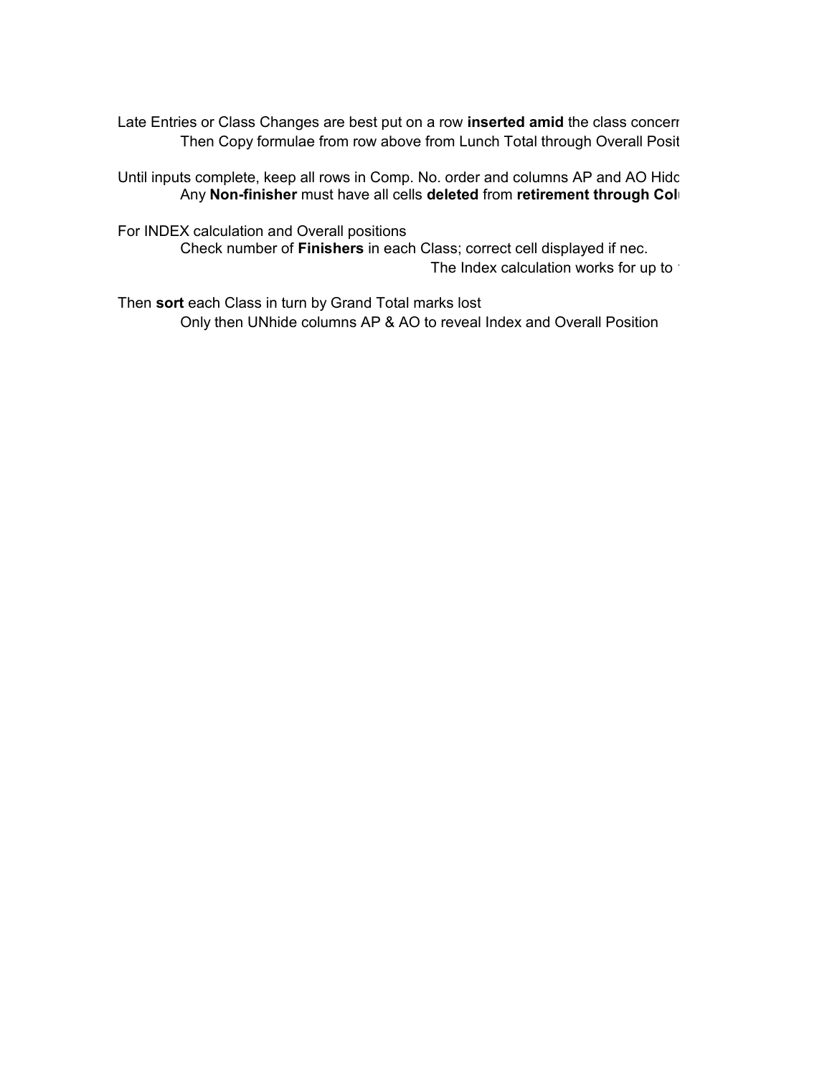Late Entries or Class Changes are best put on a row **inserted amid** the class concerr Then Copy formulae from row above from Lunch Total through Overall Posit

Until inputs complete, keep all rows in Comp. No. order and columns AP and AO Hidc Any **Non-finisher** must have all cells deleted from retirement through Col

For INDEX calculation and Overall positions

Check number of **Finishers** in each Class; correct cell displayed if nec. The Index calculation works for up to

Then **sort** each Class in turn by Grand Total marks lost Only then UNhide columns AP & AO to reveal Index and Overall Position